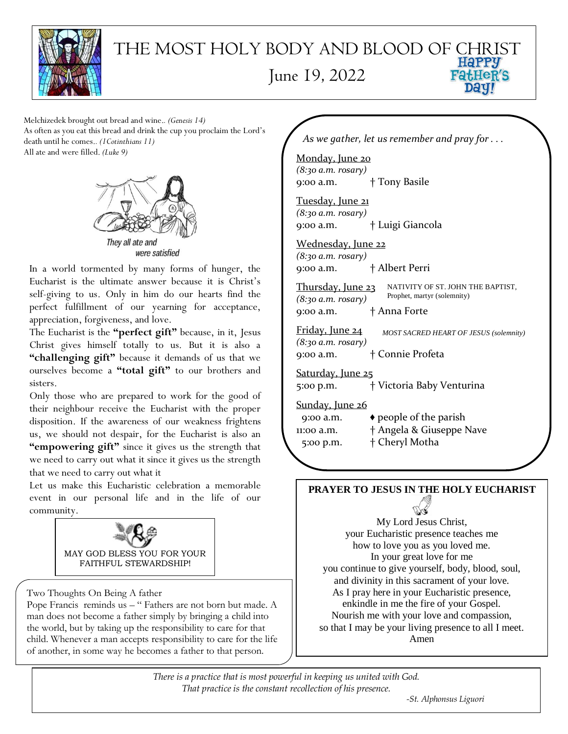

## $\big)$ THE MOST HOLY BODY AND BLOOD OF CHRIST June 19, 2022**FatHeR'S**

Melchizedek brought out bread and wine.*. (Genesis 14)* As often as you eat this bread and drink the cup you proclaim the Lord's death until he comes.*. (1Cotinthians 11)* All ate and were filled. *(Luke 9)*



were satisfied

In a world tormented by many forms of hunger, the Eucharist is the ultimate answer because it is Christ's self-giving to us. Only in him do our hearts find the perfect fulfillment of our yearning for acceptance, appreciation, forgiveness, and love.

The Eucharist is the **"perfect gift"** because, in it, Jesus Christ gives himself totally to us. But it is also a **"challenging gift"** because it demands of us that we ourselves become a **"total gift"** to our brothers and sisters.

Only those who are prepared to work for the good of their neighbour receive the Eucharist with the proper disposition. If the awareness of our weakness frightens us, we should not despair, for the Eucharist is also an **"empowering gift"** since it gives us the strength that we need to carry out what it since it gives us the strength that we need to carry out what it

Let us make this Eucharistic celebration a memorable event in our personal life and in the life of our community.



Two Thoughts On Being A father

Pope Francis reminds us - " Fathers are not born but made. A man does not become a father simply by bringing a child into the world, but by taking up the responsibility to care for that child. Whenever a man accepts responsibility to care for the life of another, in some way he becomes a father to that person.

*As we gather, let us remember and pray for . . .*

Monday, June 20 *(8:30 a.m. rosary)* 9:00 a.m. † Tony Basile

Tuesday, June 21 *(8:30 a.m. rosary)*  9:00 a.m. † Luigi Giancola

Wednesday, June 22 *(8:30 a.m. rosary)* 9:00 a.m. † Albert Perri

Thursday, June 23 *(8:30 a.m. rosary)* 9:00 a.m. † Anna Forte NATIVITY OF ST. JOHN THE BAPTIST, Prophet, martyr (solemnity)

Friday, June 24 *(8:30 a.m. rosary)* 9:00 a.m. † Connie Profeta *MOST SACRED HEART OF JESUS (solemnity)*

Saturday, June 25

5:00 p.m. † Victoria Baby Venturina

Sunday, June 26

9:00 a.m.  $\rightarrow$  people of the parish 11:00 a.m. † Angela & Giuseppe Nave 5:00 p.m. † Cheryl Motha

# **PRAYER TO JESUS IN THE HOLY EUCHARIST**

My Lord Jesus Christ, your Eucharistic presence teaches me how to love you as you loved me. In your great love for me you continue to give yourself, body, blood, soul, and divinity in this sacrament of your love. As I pray here in your Eucharistic presence, enkindle in me the fire of your Gospel. Nourish me with your love and compassion, so that I may be your living presence to all I meet. Amen

*There is a practice that is most powerful in keeping us united with God. That practice is the constant recollection of his presence.*

*-St. Alphonsus Liguori*